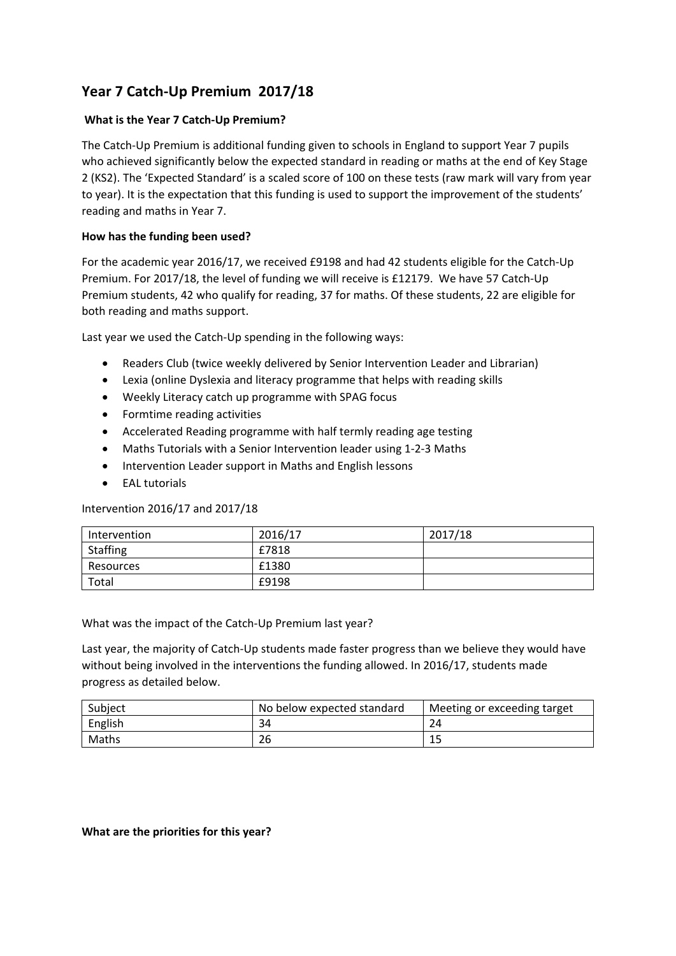## **Year 7 Catch‐Up Premium 2017/18**

## **What is the Year 7 Catch‐Up Premium?**

The Catch‐Up Premium is additional funding given to schools in England to support Year 7 pupils who achieved significantly below the expected standard in reading or maths at the end of Key Stage 2 (KS2). The 'Expected Standard' is a scaled score of 100 on these tests (raw mark will vary from year to year). It is the expectation that this funding is used to support the improvement of the students' reading and maths in Year 7.

## **How has the funding been used?**

For the academic year 2016/17, we received £9198 and had 42 students eligible for the Catch-Up Premium. For 2017/18, the level of funding we will receive is £12179. We have 57 Catch‐Up Premium students, 42 who qualify for reading, 37 for maths. Of these students, 22 are eligible for both reading and maths support.

Last year we used the Catch‐Up spending in the following ways:

- Readers Club (twice weekly delivered by Senior Intervention Leader and Librarian)
- Lexia (online Dyslexia and literacy programme that helps with reading skills
- Weekly Literacy catch up programme with SPAG focus
- Formtime reading activities
- Accelerated Reading programme with half termly reading age testing
- Maths Tutorials with a Senior Intervention leader using 1‐2‐3 Maths
- Intervention Leader support in Maths and English lessons
- EAL tutorials

Intervention 2016/17 and 2017/18

| Intervention    | 2016/17 | 2017/18 |
|-----------------|---------|---------|
| <b>Staffing</b> | £7818   |         |
| Resources       | £1380   |         |
| Total           | £9198   |         |

What was the impact of the Catch‐Up Premium last year?

Last year, the majority of Catch‐Up students made faster progress than we believe they would have without being involved in the interventions the funding allowed. In 2016/17, students made progress as detailed below.

| Subject | No below expected standard | Meeting or exceeding target |
|---------|----------------------------|-----------------------------|
| English | 34                         |                             |
| Maths   | 26                         |                             |

## **What are the priorities for this year?**